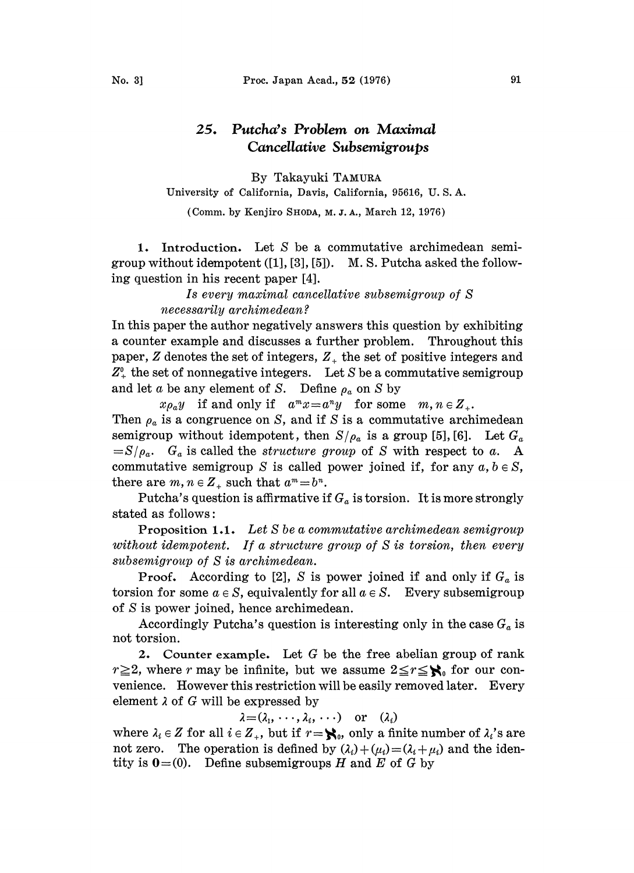## Putcha's Problem on Maximal  $25.$ Cancellative Subsemigroups

By Takayuki TAMURA University of California, Davis, California, 95616, U. S. A.

(Comm. by Kenjiro SHODA, M. J. A., March 12, 1976)

1. Introduction. Let S be a commutative archimedean semigroup without idempotent ([1], [3], [5]). M.S. Putcha asked the following question in his recent paper [4].

> Is every maximal cancellative subsemigroup of S necessarily archimedean ?

In this paper the author negatively answers this question by exhibiting a counter example and discusses a further problem. Throughout this paper,  $Z$  denotes the set of integers,  $Z_+$  the set of positive integers and  $Z_{+}^{0}$  the set of nonnegative integers. Let S be a commutative semigroup and let a be any element of S. Define  $\rho_a$  on S by

 $x\rho_a y$  if and only if  $a^m x = a^n y$  for some  $m, n \in \mathbb{Z}_+$ . Then  $\rho_a$  is a congruence on S, and if S is a commutative archimedean semigroup without idempotent, then  $S/\rho_a$  is a group [5], [6]. Let  $G_a$  $=S/\rho_a$ . G<sub>a</sub> is called the *structure group* of S with respect to a. A commutative semigroup S is called power joined if, for any  $a, b \in S$ , there are  $m, n \in \mathbb{Z}_+$  such that  $a^m = b^n$ .

Putcha's question is affirmative if  $G_a$  is torsion. It is more strongly stated as follows:

Proposition 1.1. Let S be a commutative archimedean semigroup without idempotent. If a structure group of S is torsion, then every subsemigroup of S is archimedean.

**Proof.** According to [2], S is power joined if and only if  $G_a$  is torsion for some  $a \in S$ , equivalently for all  $a \in S$ . Every subsemigroup of S is power joined, hence archimedean.

Accordingly Putcha's question is interesting only in the case  $G_a$  is not torsion.

2. Counter example. Let G be the free abelian group of rank  $r \geq 2$ , where r may be infinite, but we assume  $2 \leq r \leq \mathcal{N}_0$  for our convenience. However this restriction will be easily removed later. Every element  $\lambda$  of G will be expressed by

 $\lambda = (\lambda_1, \cdots, \lambda_i, \cdots)$  or  $(\lambda_i)$ 

where  $\lambda_i \in Z$  for all  $i \in Z_+$ , but if  $r = \mathbf{S}_0$ , only a finite number of  $\lambda_i$ 's are not zero. The operation is defined by  $(\lambda_i) + (\mu_i) = (\lambda_i + \mu_i)$  and the identity is  $0=0$ . Define subsemigroups H and E of G by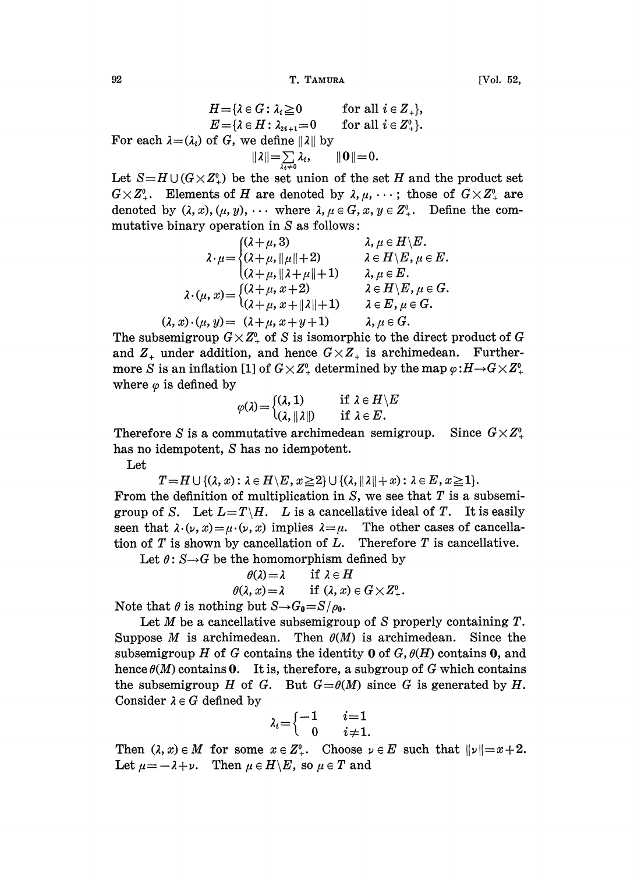92 T. TAMURA [Vol. 52,

$$
H = \{ \lambda \in G : \lambda_i \geq 0 \qquad \text{for all } i \in Z_+ \},
$$
  
\n
$$
E = \{ \lambda \in H : \lambda_{2i+1} = 0 \qquad \text{for all } i \in Z_+ \}.
$$
  
\nFor each  $\lambda = (\lambda_i)$  of G, we define  $||\lambda||$  by  
\n
$$
||\lambda|| = \sum_{\lambda_i \neq 0} \lambda_i, \qquad ||0|| = 0.
$$

Let  $S=H\cup (G\times Z^0_+)$  be the set union of the set H and the product set  $G \times Z^0_+$ . Elements of H are denoted by  $\lambda, \mu, \cdots$ ; those of  $G \times Z^0_+$  are denoted by  $(\lambda, x), (\mu, y), \cdots$  where  $\lambda, \mu \in G$ ,  $x, y \in Z^0_+$ . Define the commutative binary operation in  $S$  as follows:

$$
\lambda \cdot \mu = \begin{cases}\n(\lambda + \mu, 3) & \lambda, \mu \in H \setminus E, \\
(\lambda + \mu, \|\mu\| + 2) & \lambda \in H \setminus E, \mu \in E, \\
(\lambda + \mu, \|\lambda + \mu\| + 1) & \lambda, \mu \in E.\n\end{cases}
$$
\n
$$
\lambda \cdot (\mu, x) = \begin{cases}\n(\lambda + \mu, x + 2) & \lambda \in H \setminus E, \mu \in G, \\
(\lambda + \mu, x + \|\lambda\| + 1) & \lambda \in E, \mu \in G.\n\end{cases}
$$
\n
$$
(\lambda, x) \cdot (\mu, y) = (\lambda + \mu, x + y + 1) \qquad \lambda, \mu \in G.
$$

The subsemigroup  $G \times Z^0_+$  of S is isomorphic to the direct product of G and  $Z_+$  under addition, and hence  $G \times Z_+$  is archimedean. Furthermore S is an inflation [1] of  $G \times Z^0$  determined by the map  $\varphi: H \to G \times Z^0$ . where  $\varphi$  is defined by

$$
\varphi(\lambda) = \begin{cases} (\lambda, 1) & \text{if } \lambda \in H \setminus E \\ (\lambda, \|\lambda\|) & \text{if } \lambda \in E. \end{cases}
$$

Therefore S is a commutative archimedean semigroup. Since  $G \times Z^0$ . has no idempotent, S has no idempotent.

Let

$$
T = H \cup \{(\lambda, x): \lambda \in H \setminus E, x \geq 2\} \cup \{(\lambda, \|\lambda\| + x): \lambda \in E, x \geq 1\}.
$$

From the definition of multiplication in  $S$ , we see that  $T$  is a subsemigroup of S. Let  $L=T\backslash H$ . L is a cancellative ideal of T. It is easily seen that  $\lambda \cdot (\nu, x) = \mu \cdot (\nu, x)$  implies  $\lambda = \mu$ . The other cases of cancellation of  $T$  is shown by cancellation of  $L$ . Therefore  $T$  is cancellative.

Let  $\theta: S \rightarrow G$  be the homomorphism defined by

$$
\theta(\lambda) = \lambda \quad \text{if } \lambda \in H
$$
  

$$
\theta(\lambda, x) = \lambda \quad \text{if } (\lambda, x) \in G \times Z^0_+.
$$

Note that  $\theta$  is nothing but  $S\rightarrow G_0=S/\rho_0$ .

Let  $M$  be a cancellative subsemigroup of  $S$  properly containing  $T$ . Suppose M is archimedean. Then  $\theta(M)$  is archimedean. Since the subsemigroup H of G contains the identity 0 of  $G$ ,  $\theta(H)$  contains 0, and hence  $\theta(M)$  contains 0. It is, therefore, a subgroup of G which contains the subsemigroup H of G. But  $G = \theta(M)$  since G is generated by H. Consider  $\lambda \in G$  defined by

$$
\lambda_i = \begin{cases} -1 & i=1 \\ 0 & i \neq 1. \end{cases}
$$

Then  $(\lambda, x) \in M$  for some  $x \in Z^0_+$ . Choose  $\nu \in E$  such that  $\|\nu\| = x+2$ . Let  $\mu=-\lambda+\nu$ . Then  $\mu\in H\backslash E$ , so  $\mu\in T$  and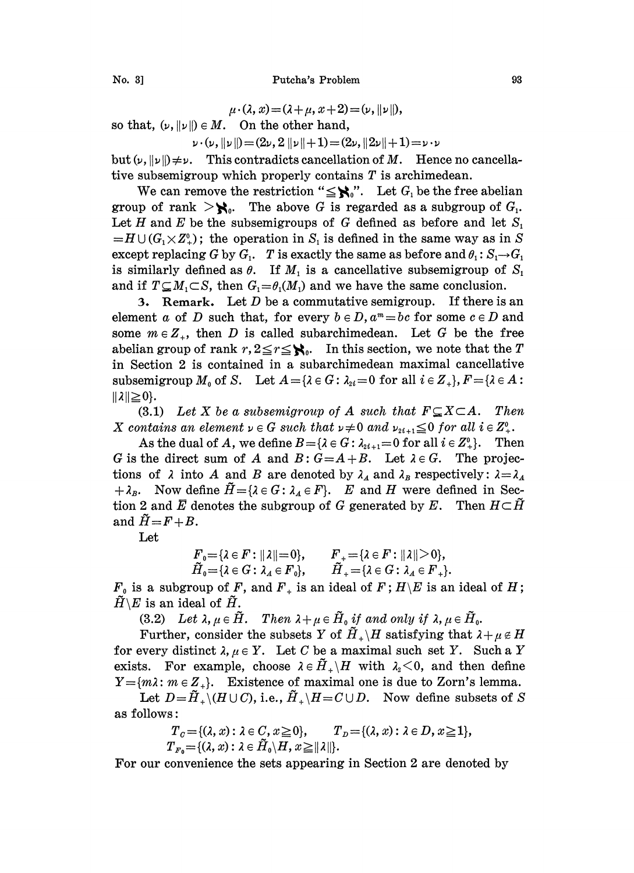$\mu \cdot (\lambda, x) = (\lambda + \mu, x + 2) = (\nu, \|\nu\|),$ 

so that,  $(\nu, ||\nu||) \in M$ . On the other hand,

 $\nu \cdot (\nu, \|\nu\|) = (2\nu, 2 \|\nu\| + 1) = (2\nu, \|2\nu\| + 1) = \nu \cdot \nu$ 

but  $(\nu, ||\nu||) \neq \nu$ . This contradicts cancellation of M. Hence no cancellative subsemigroup which properly contains  $T$  is archimedean.

We can remove the restriction " $\leq \aleph$ ". Let  $G_i$  be the free abelian group of rank  $\geq$ **\,**. The above G is regarded as a subgroup of  $G_1$ . Let H and E be the subsemigroups of G defined as before and let  $S_1$  $=H\cup (G_1\times Z^0_+)$ ; the operation in S<sub>1</sub> is defined in the same way as in S except replacing G by  $G_1$ . T is exactly the same as before and  $\theta_1: S_1 \rightarrow G_1$ is similarly defined as  $\theta$ . If  $M_1$  is a cancellative subsemigroup of  $S_1$ and if  $T \subseteq M_1 \subset S$ , then  $G_1 = \theta_1(M_1)$  and we have the same conclusion.

3. Remark. Let  $D$  be a commutative semigroup. If there is an element a of D such that, for every  $b \in D$ ,  $a^m = bc$  for some  $c \in D$  and some  $m \in \mathbb{Z}_+$ , then D is called subarchimedean. Let G be the free abelian group of rank  $r, 2 \le r \le \aleph_0$ . In this section, we note that the T in Section 2 is contained in a subarchimedean maximal cancellative subsemigroup  $M_0$  of S. Let  $A = \{ \lambda \in G : \lambda_{2i} = 0 \text{ for all } i \in Z_+ \}, F = \{ \lambda \in A :$  $||\lambda|| \geq 0$ .

(3.1) Let X be a subsemigroup of A such that  $F \subseteq X \subseteq A$ . Then X contains an element  $\nu \in G$  such that  $\nu \neq 0$  and  $\nu_{2i+1} \leq 0$  for all  $i \in Z^0_+$ .

As the dual of A, we define  $B = \{ \lambda \in G : \lambda_{2i+1} = 0 \text{ for all } i \in \mathbb{Z}_{+}^0 \}.$  Then G is the direct sum of A and  $B: G = A + B$ . Let  $\lambda \in G$ . The projections of  $\lambda$  into A and B are denoted by  $\lambda_A$  and  $\lambda_B$  respectively:  $\lambda = \lambda_A$  $+ \lambda_B$ . Now define  $\tilde{H} = {\lambda \in G : \lambda_A \in F}$ . E and H were defined in Section 2 and E denotes the subgroup of G generated by E. Then  $H \subset \tilde{H}$ and  $\tilde{H}=F+B$ .

Let

$$
F_0 = \{\lambda \in F : ||\lambda|| = 0\}, \qquad F_+ = \{\lambda \in F : ||\lambda|| > 0\},
$$
  

$$
\tilde{H}_0 = \{\lambda \in G : \lambda_A \in F_0\}, \qquad \tilde{H}_+ = \{\lambda \in G : \lambda_A \in F_+\}.
$$

 $F_0$  is a subgroup of F, and  $F_+$  is an ideal of F;  $H \backslash E$  is an ideal of H;  $\tilde{H} \backslash E$  is an ideal of  $\tilde{H}$ .

(3.2) Let  $\lambda, \mu \in \tilde{H}$ . Then  $\lambda + \mu \in \tilde{H}_0$  if and only if  $\lambda, \mu \in \tilde{H}_0$ .

Further, consider the subsets Y of  $\tilde{H}_{+}\backslash H$  satisfying that  $\lambda+\mu \notin H$ for every distinct  $\lambda, \mu \in Y$ . Let C be a maximal such set Y. Such a Y exists. For example, choose  $\lambda \in \tilde{H}_{+} \backslash H$  with  $\lambda_{2} < 0$ , and then define  $Y = \{m\lambda : m \in Z_+\}.$  Existence of maximal one is due to Zorn's lemma.

Let  $D=\tilde{H}_{+}\backslash(H\cup C)$ , i.e.,  $\tilde{H}_{+}\backslash H=C\cup D$ . Now define subsets of S as follows:

s:  
\n
$$
T_c = \{ (\lambda, x) : \lambda \in C, x \ge 0 \}, \qquad T_D = \{ (\lambda, x) : \lambda \in D, x \ge 1 \},
$$
\n
$$
T_{F_0} = \{ (\lambda, x) : \lambda \in \tilde{H}_0 \setminus H, x \ge ||\lambda|| \}.
$$

For our convenience the sets appearing in Section 2 are denoted by